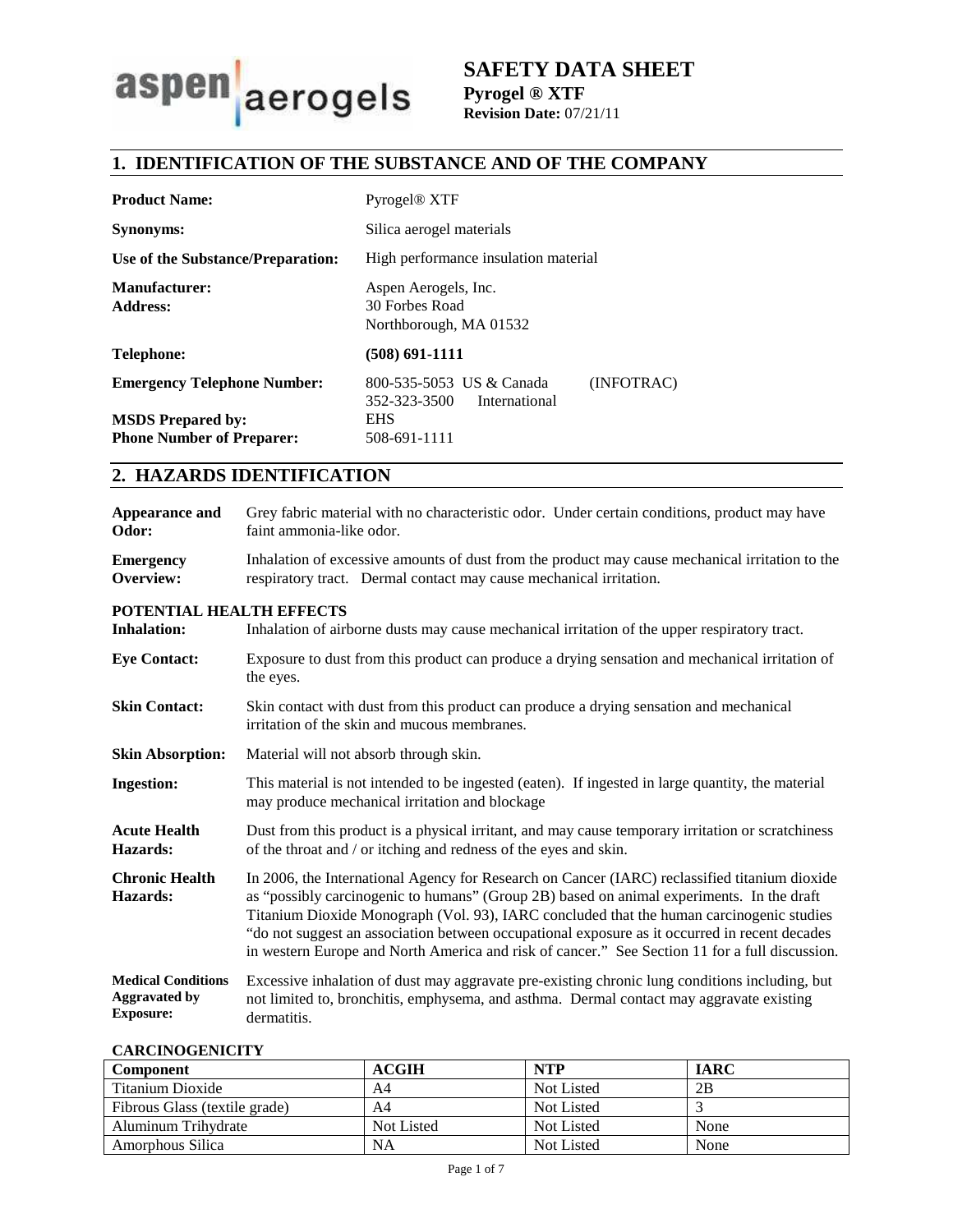

# **1. IDENTIFICATION OF THE SUBSTANCE AND OF THE COMPANY**

| <b>Product Name:</b>                    | Pyrogel <sup>®</sup> XTF                                             |  |
|-----------------------------------------|----------------------------------------------------------------------|--|
| <b>Synonyms:</b>                        | Silica aerogel materials                                             |  |
| Use of the Substance/Preparation:       | High performance insulation material                                 |  |
| <b>Manufacturer:</b><br><b>Address:</b> | Aspen Aerogels, Inc.<br>30 Forbes Road<br>Northborough, MA 01532     |  |
| Telephone:                              | (508) 691-1111                                                       |  |
| <b>Emergency Telephone Number:</b>      | (INFOTRAC)<br>800-535-5053 US & Canada<br>352-323-3500 International |  |
| <b>MSDS</b> Prepared by:                | <b>EHS</b>                                                           |  |
| <b>Phone Number of Preparer:</b>        | 508-691-1111                                                         |  |

# **2. HAZARDS IDENTIFICATION**

| Appearance and<br>Odor:                                               | Grey fabric material with no characteristic odor. Under certain conditions, product may have<br>faint ammonia-like odor.                                                                                                                                                                                                                                                                                                                                                                  |  |
|-----------------------------------------------------------------------|-------------------------------------------------------------------------------------------------------------------------------------------------------------------------------------------------------------------------------------------------------------------------------------------------------------------------------------------------------------------------------------------------------------------------------------------------------------------------------------------|--|
| <b>Emergency</b><br>Overview:                                         | Inhalation of excessive amounts of dust from the product may cause mechanical irritation to the<br>respiratory tract. Dermal contact may cause mechanical irritation.                                                                                                                                                                                                                                                                                                                     |  |
| POTENTIAL HEALTH EFFECTS                                              |                                                                                                                                                                                                                                                                                                                                                                                                                                                                                           |  |
| <b>Inhalation:</b>                                                    | Inhalation of airborne dusts may cause mechanical irritation of the upper respiratory tract.                                                                                                                                                                                                                                                                                                                                                                                              |  |
| <b>Eye Contact:</b>                                                   | Exposure to dust from this product can produce a drying sensation and mechanical irritation of<br>the eyes.                                                                                                                                                                                                                                                                                                                                                                               |  |
| <b>Skin Contact:</b>                                                  | Skin contact with dust from this product can produce a drying sensation and mechanical<br>irritation of the skin and mucous membranes.                                                                                                                                                                                                                                                                                                                                                    |  |
| <b>Skin Absorption:</b>                                               | Material will not absorb through skin.                                                                                                                                                                                                                                                                                                                                                                                                                                                    |  |
| <b>Ingestion:</b>                                                     | This material is not intended to be ingested (eaten). If ingested in large quantity, the material<br>may produce mechanical irritation and blockage                                                                                                                                                                                                                                                                                                                                       |  |
| <b>Acute Health</b><br>Hazards:                                       | Dust from this product is a physical irritant, and may cause temporary irritation or scratchiness<br>of the throat and / or itching and redness of the eyes and skin.                                                                                                                                                                                                                                                                                                                     |  |
| <b>Chronic Health</b><br>Hazards:                                     | In 2006, the International Agency for Research on Cancer (IARC) reclassified titanium dioxide<br>as "possibly carcinogenic to humans" (Group 2B) based on animal experiments. In the draft<br>Titanium Dioxide Monograph (Vol. 93), IARC concluded that the human carcinogenic studies<br>"do not suggest an association between occupational exposure as it occurred in recent decades<br>in western Europe and North America and risk of cancer." See Section 11 for a full discussion. |  |
| <b>Medical Conditions</b><br><b>Aggravated by</b><br><b>Exposure:</b> | Excessive inhalation of dust may aggravate pre-existing chronic lung conditions including, but<br>not limited to, bronchitis, emphysema, and asthma. Dermal contact may aggravate existing<br>dermatitis.                                                                                                                                                                                                                                                                                 |  |

### **CARCINOGENICITY**

| <b>Component</b>              | ACGIH      | <b>NTP</b> | <b>IARC</b> |
|-------------------------------|------------|------------|-------------|
| Titanium Dioxide              | A4         | Not Listed | 2B          |
| Fibrous Glass (textile grade) | A4         | Not Listed |             |
| Aluminum Trihydrate           | Not Listed | Not Listed | None        |
| Amorphous Silica              | NA         | Not Listed | None        |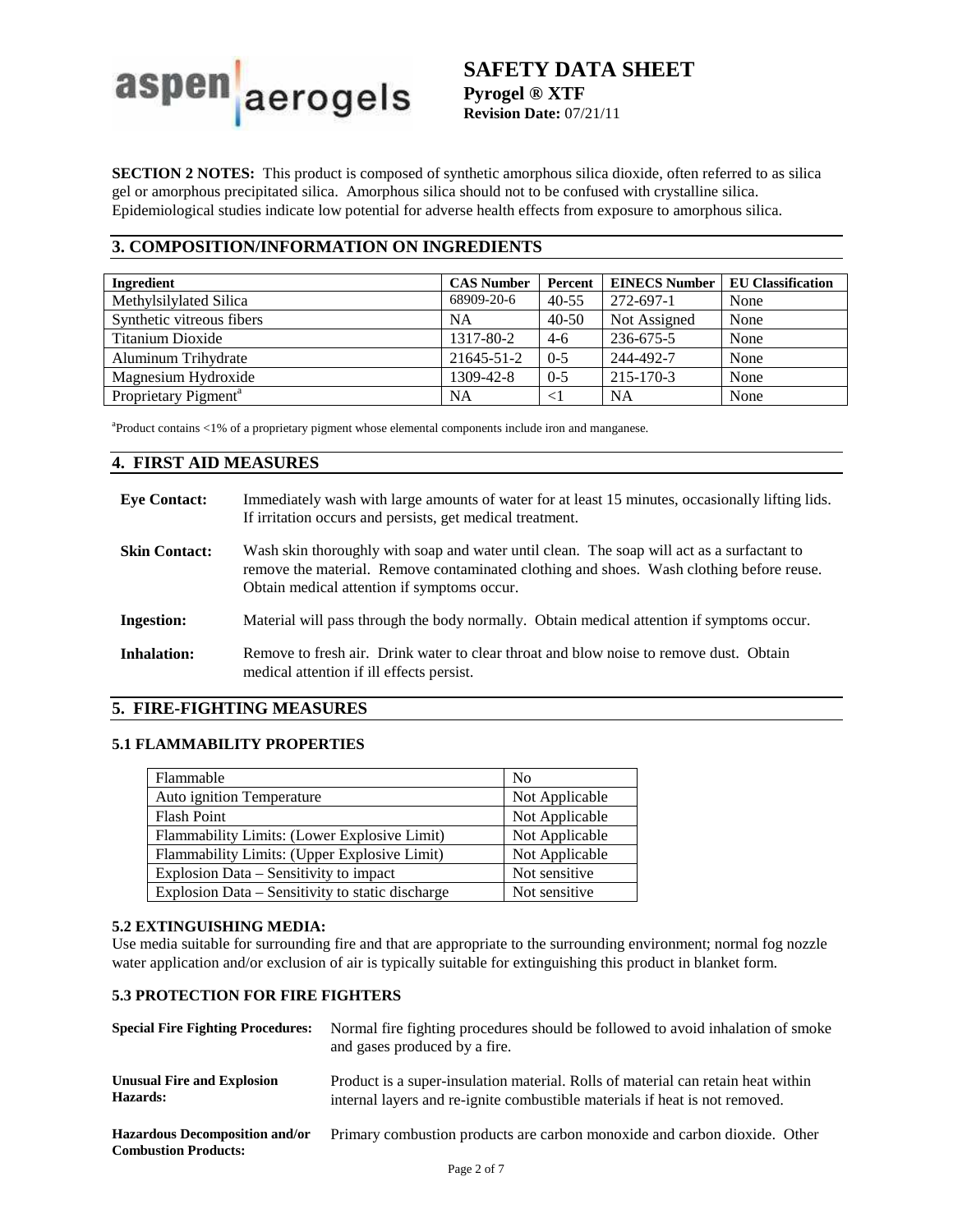

**SECTION 2 NOTES:** This product is composed of synthetic amorphous silica dioxide, often referred to as silica gel or amorphous precipitated silica. Amorphous silica should not to be confused with crystalline silica. Epidemiological studies indicate low potential for adverse health effects from exposure to amorphous silica.

## **3. COMPOSITION/INFORMATION ON INGREDIENTS**

| Ingredient                       | <b>CAS Number</b> | Percent   | <b>EINECS Number</b> | <b>EU Classification</b> |
|----------------------------------|-------------------|-----------|----------------------|--------------------------|
| Methylsilylated Silica           | 68909-20-6        | $40 - 55$ | 272-697-1            | None                     |
| Synthetic vitreous fibers        | NA                | $40 - 50$ | Not Assigned         | None                     |
| Titanium Dioxide                 | 1317-80-2         | $4-6$     | 236-675-5            | None                     |
| Aluminum Trihydrate              | 21645-51-2        | $0 - 5$   | 244-492-7            | None                     |
| Magnesium Hydroxide              | 1309-42-8         | $0 - 5$   | $215 - 170 - 3$      | None                     |
| Proprietary Pigment <sup>a</sup> | NA                | $<$ 1     | <b>NA</b>            | None                     |

a Product contains <1% of a proprietary pigment whose elemental components include iron and manganese.

### **4. FIRST AID MEASURES**

| <b>Eve Contact:</b>  | Immediately wash with large amounts of water for at least 15 minutes, occasionally lifting lids.<br>If irritation occurs and persists, get medical treatment.                                                                         |
|----------------------|---------------------------------------------------------------------------------------------------------------------------------------------------------------------------------------------------------------------------------------|
| <b>Skin Contact:</b> | Wash skin thoroughly with soap and water until clean. The soap will act as a surfactant to<br>remove the material. Remove contaminated clothing and shoes. Wash clothing before reuse.<br>Obtain medical attention if symptoms occur. |
| <b>Ingestion:</b>    | Material will pass through the body normally. Obtain medical attention if symptoms occur.                                                                                                                                             |
| Inhalation:          | Remove to fresh air. Drink water to clear throat and blow noise to remove dust. Obtain<br>medical attention if ill effects persist.                                                                                                   |

### **5. FIRE-FIGHTING MEASURES**

### **5.1 FLAMMABILITY PROPERTIES**

| Flammable                                        | N <sub>0</sub> |
|--------------------------------------------------|----------------|
| Auto ignition Temperature                        | Not Applicable |
| <b>Flash Point</b>                               | Not Applicable |
| Flammability Limits: (Lower Explosive Limit)     | Not Applicable |
| Flammability Limits: (Upper Explosive Limit)     | Not Applicable |
| Explosion Data – Sensitivity to impact           | Not sensitive  |
| Explosion Data - Sensitivity to static discharge | Not sensitive  |

### **5.2 EXTINGUISHING MEDIA:**

Use media suitable for surrounding fire and that are appropriate to the surrounding environment; normal fog nozzle water application and/or exclusion of air is typically suitable for extinguishing this product in blanket form.

### **5.3 PROTECTION FOR FIRE FIGHTERS**

| <b>Special Fire Fighting Procedures:</b>                             | Normal fire fighting procedures should be followed to avoid inhalation of smoke<br>and gases produced by a fire.                                                |
|----------------------------------------------------------------------|-----------------------------------------------------------------------------------------------------------------------------------------------------------------|
| <b>Unusual Fire and Explosion</b><br>Hazards:                        | Product is a super-insulation material. Rolls of material can retain heat within<br>internal layers and re-ignite combustible materials if heat is not removed. |
| <b>Hazardous Decomposition and/or</b><br><b>Combustion Products:</b> | Primary combustion products are carbon monoxide and carbon dioxide. Other                                                                                       |
|                                                                      |                                                                                                                                                                 |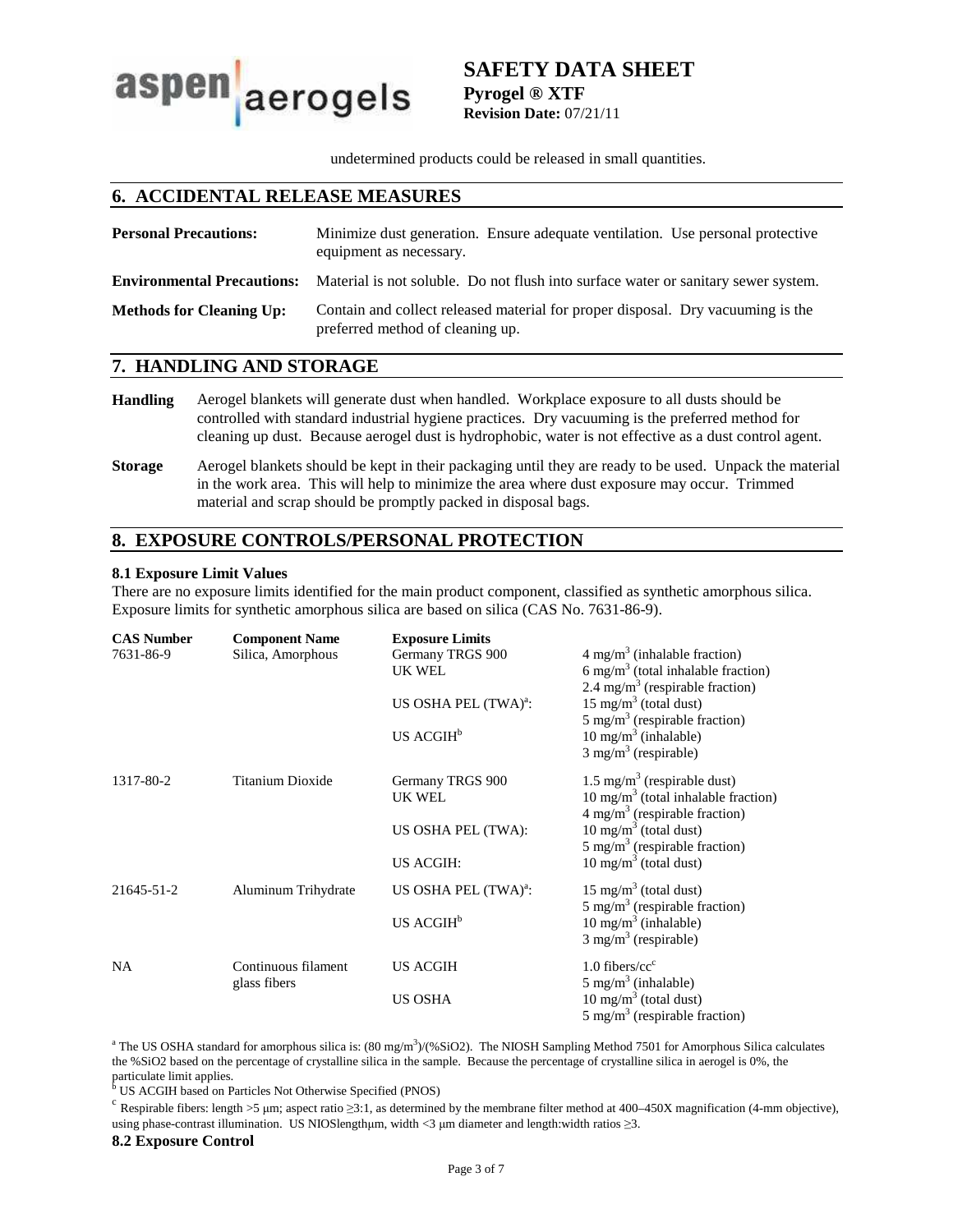aspen aerogels

# **SAFETY DATA SHEET Pyrogel ® XTF Revision Date:** 07/21/11

undetermined products could be released in small quantities.

## **6. ACCIDENTAL RELEASE MEASURES**

| <b>Personal Precautions:</b>      | Minimize dust generation. Ensure adequate ventilation. Use personal protective<br>equipment as necessary.           |
|-----------------------------------|---------------------------------------------------------------------------------------------------------------------|
| <b>Environmental Precautions:</b> | Material is not soluble. Do not flush into surface water or sanitary sewer system.                                  |
| <b>Methods for Cleaning Up:</b>   | Contain and collect released material for proper disposal. Dry vacuuming is the<br>preferred method of cleaning up. |

### **7. HANDLING AND STORAGE**

- **Handling** Aerogel blankets will generate dust when handled. Workplace exposure to all dusts should be controlled with standard industrial hygiene practices. Dry vacuuming is the preferred method for cleaning up dust. Because aerogel dust is hydrophobic, water is not effective as a dust control agent.
- **Storage** Aerogel blankets should be kept in their packaging until they are ready to be used. Unpack the material in the work area. This will help to minimize the area where dust exposure may occur. Trimmed material and scrap should be promptly packed in disposal bags.

# **8. EXPOSURE CONTROLS/PERSONAL PROTECTION**

### **8.1 Exposure Limit Values**

There are no exposure limits identified for the main product component, classified as synthetic amorphous silica. Exposure limits for synthetic amorphous silica are based on silica (CAS No. 7631-86-9).

| <b>CAS Number</b> | <b>Component Name</b> | <b>Exposure Limits</b>           |                                                                               |
|-------------------|-----------------------|----------------------------------|-------------------------------------------------------------------------------|
| 7631-86-9         | Silica, Amorphous     | Germany TRGS 900                 | $4 \text{ mg/m}^3$ (inhalable fraction)                                       |
|                   |                       | UK WEL                           | 6 mg/m <sup>3</sup> (total inhalable fraction)                                |
|                   |                       |                                  | 2.4 mg/m <sup>3</sup> (respirable fraction)                                   |
|                   |                       | US OSHA PEL (TWA) <sup>a</sup> : | $15 \text{ mg/m}^3$ (total dust)                                              |
|                   |                       | US ACGIH <sup>b</sup>            | 5 mg/m <sup>3</sup> (respirable fraction)<br>$10 \text{ mg/m}^3$ (inhalable)  |
|                   |                       |                                  | $3$ mg/m <sup>3</sup> (respirable)                                            |
|                   |                       |                                  |                                                                               |
| 1317-80-2         | Titanium Dioxide      | Germany TRGS 900                 | $1.5 \text{ mg/m}^3$ (respirable dust)                                        |
|                   |                       | UK WEL                           | $10 \text{ mg/m}^3$ (total inhalable fraction)                                |
|                   |                       |                                  | $4 \text{ mg/m}^3$ (respirable fraction)                                      |
|                   |                       | US OSHA PEL (TWA):               | $10 \text{ mg/m}^3$ (total dust)<br>5 mg/m <sup>3</sup> (respirable fraction) |
|                   |                       | US ACGIH:                        | $10 \text{ mg/m}^3$ (total dust)                                              |
|                   |                       |                                  |                                                                               |
| 21645-51-2        | Aluminum Trihydrate   | US OSHA PEL (TWA) <sup>a</sup> : | 15 mg/m <sup>3</sup> (total dust)                                             |
|                   |                       |                                  | 5 mg/m <sup>3</sup> (respirable fraction)                                     |
|                   |                       | US ACGIH <sup>b</sup>            | $10 \text{ mg/m}^3$ (inhalable)                                               |
|                   |                       |                                  | $3$ mg/m <sup>3</sup> (respirable)                                            |
| <b>NA</b>         | Continuous filament   | <b>US ACGIH</b>                  | $1.0$ fibers/cc <sup>c</sup>                                                  |
|                   | glass fibers          |                                  | $5 \text{ mg/m}^3$ (inhalable)                                                |
|                   |                       | <b>US OSHA</b>                   | $10 \text{ mg/m}^3$ (total dust)                                              |
|                   |                       |                                  | 5 mg/m <sup>3</sup> (respirable fraction)                                     |

<sup>a</sup> The US OSHA standard for amorphous silica is:  $(80 \text{ mg/m}^3)/(96 \text{SiO2})$ . The NIOSH Sampling Method 7501 for Amorphous Silica calculates the %SiO2 based on the percentage of crystalline silica in the sample. Because the percentage of crystalline silica in aerogel is 0%, the

particulate limit applies. b US ACGIH based on Particles Not Otherwise Specified (PNOS)

<sup>c</sup> Respirable fibers: length >5 µm; aspect ratio  $\geq$ 3:1, as determined by the membrane filter method at 400–450X magnification (4-mm objective), using phase-contrast illumination. US NIOSlengthµm, width <3 µm diameter and length:width ratios ≥3.

### **8.2 Exposure Control**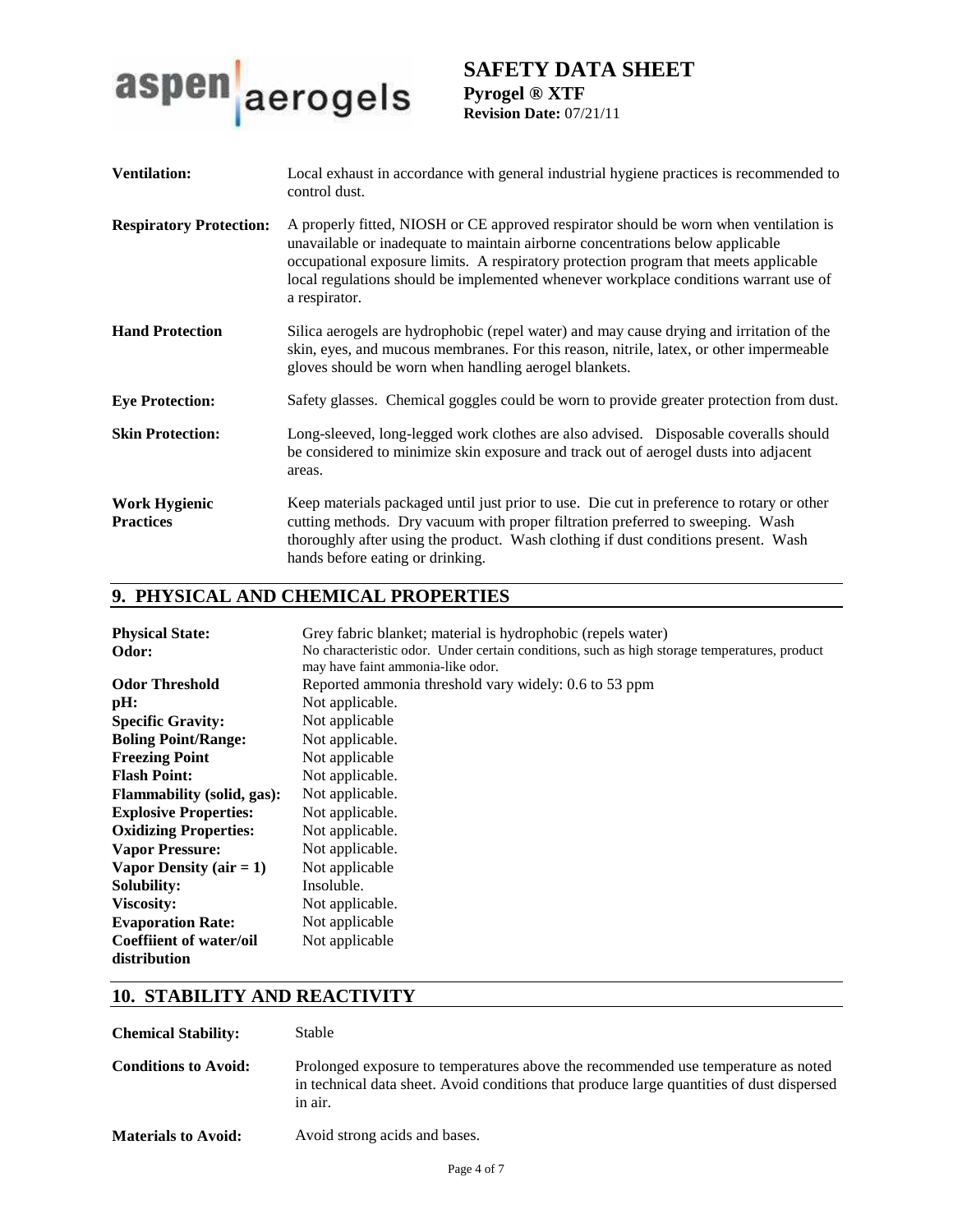

| <b>Ventilation:</b>                      | Local exhaust in accordance with general industrial hygiene practices is recommended to<br>control dust.                                                                                                                                                                                                                                                                 |
|------------------------------------------|--------------------------------------------------------------------------------------------------------------------------------------------------------------------------------------------------------------------------------------------------------------------------------------------------------------------------------------------------------------------------|
| <b>Respiratory Protection:</b>           | A properly fitted, NIOSH or CE approved respirator should be worn when ventilation is<br>unavailable or inadequate to maintain airborne concentrations below applicable<br>occupational exposure limits. A respiratory protection program that meets applicable<br>local regulations should be implemented whenever workplace conditions warrant use of<br>a respirator. |
| <b>Hand Protection</b>                   | Silica aerogels are hydrophobic (repel water) and may cause drying and irritation of the<br>skin, eyes, and mucous membranes. For this reason, nitrile, latex, or other impermeable<br>gloves should be worn when handling aerogel blankets.                                                                                                                             |
| <b>Eye Protection:</b>                   | Safety glasses. Chemical goggles could be worn to provide greater protection from dust.                                                                                                                                                                                                                                                                                  |
| <b>Skin Protection:</b>                  | Long-sleeved, long-legged work clothes are also advised. Disposable coveralls should<br>be considered to minimize skin exposure and track out of aerogel dusts into adjacent<br>areas.                                                                                                                                                                                   |
| <b>Work Hygienic</b><br><b>Practices</b> | Keep materials packaged until just prior to use. Die cut in preference to rotary or other<br>cutting methods. Dry vacuum with proper filtration preferred to sweeping. Wash<br>thoroughly after using the product. Wash clothing if dust conditions present. Wash<br>hands before eating or drinking.                                                                    |

# **9. PHYSICAL AND CHEMICAL PROPERTIES**

| <b>Physical State:</b>            | Grey fabric blanket; material is hydrophobic (repels water)                                                                       |
|-----------------------------------|-----------------------------------------------------------------------------------------------------------------------------------|
| Odor:                             | No characteristic odor. Under certain conditions, such as high storage temperatures, product<br>may have faint ammonia-like odor. |
| <b>Odor Threshold</b>             | Reported ammonia threshold vary widely: 0.6 to 53 ppm                                                                             |
| pH:                               | Not applicable.                                                                                                                   |
| <b>Specific Gravity:</b>          | Not applicable                                                                                                                    |
| <b>Boling Point/Range:</b>        | Not applicable.                                                                                                                   |
| <b>Freezing Point</b>             | Not applicable                                                                                                                    |
| <b>Flash Point:</b>               | Not applicable.                                                                                                                   |
| <b>Flammability</b> (solid, gas): | Not applicable.                                                                                                                   |
| <b>Explosive Properties:</b>      | Not applicable.                                                                                                                   |
| <b>Oxidizing Properties:</b>      | Not applicable.                                                                                                                   |
| <b>Vapor Pressure:</b>            | Not applicable.                                                                                                                   |
| Vapor Density (air $= 1$ )        | Not applicable                                                                                                                    |
| Solubility:                       | Insoluble.                                                                                                                        |
| Viscosity:                        | Not applicable.                                                                                                                   |
| <b>Evaporation Rate:</b>          | Not applicable                                                                                                                    |
| <b>Coeffiient of water/oil</b>    | Not applicable                                                                                                                    |
| distribution                      |                                                                                                                                   |

# **10. STABILITY AND REACTIVITY**

**Chemical Stability:** Stable

**Conditions to Avoid:** Prolonged exposure to temperatures above the recommended use temperature as noted in technical data sheet. Avoid conditions that produce large quantities of dust dispersed in air.

Materials to Avoid: Avoid strong acids and bases.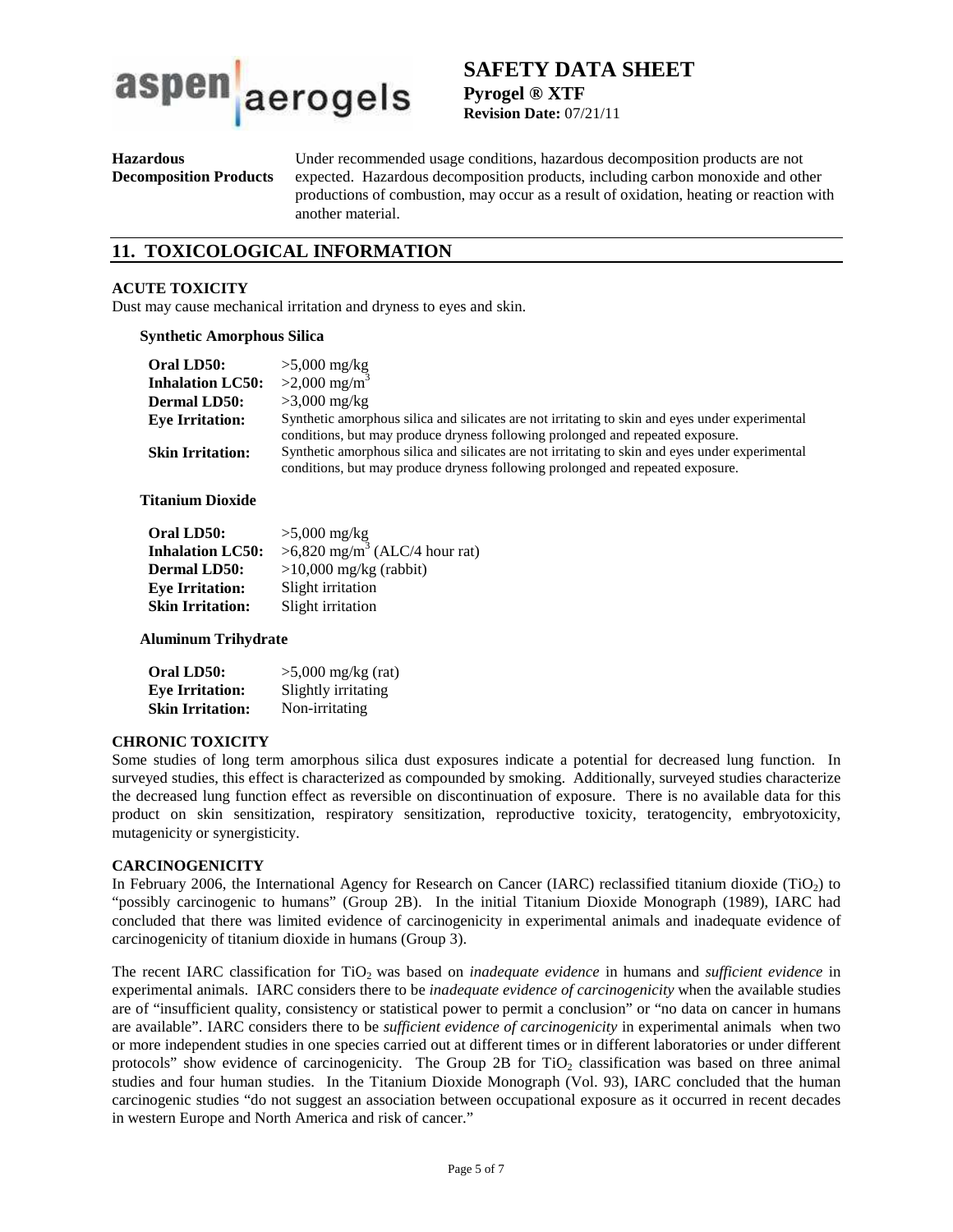

# **SAFETY DATA SHEET Pyrogel ® XTF**

**Revision Date:** 07/21/11

**Hazardous Decomposition Products**  Under recommended usage conditions, hazardous decomposition products are not expected. Hazardous decomposition products, including carbon monoxide and other productions of combustion, may occur as a result of oxidation, heating or reaction with another material.

# **11. TOXICOLOGICAL INFORMATION**

### **ACUTE TOXICITY**

Dust may cause mechanical irritation and dryness to eyes and skin.

#### **Synthetic Amorphous Silica**

| Oral LD50:              | $>5,000$ mg/kg                                                                                                                                                                    |
|-------------------------|-----------------------------------------------------------------------------------------------------------------------------------------------------------------------------------|
| <b>Inhalation LC50:</b> | $>2,000 \text{ mg/m}^3$                                                                                                                                                           |
| <b>Dermal LD50:</b>     | $>3,000$ mg/kg                                                                                                                                                                    |
| <b>Eve Irritation:</b>  | Synthetic amorphous silica and silicates are not irritating to skin and eyes under experimental                                                                                   |
|                         | conditions, but may produce dryness following prolonged and repeated exposure.                                                                                                    |
| <b>Skin Irritation:</b> | Synthetic amorphous silica and silicates are not irritating to skin and eyes under experimental<br>conditions, but may produce dryness following prolonged and repeated exposure. |

#### **Titanium Dioxide**

| Oral LD50:              | $>5,000$ mg/kg                              |
|-------------------------|---------------------------------------------|
| <b>Inhalation LC50:</b> | $>6,820$ mg/m <sup>3</sup> (ALC/4 hour rat) |
| <b>Dermal LD50:</b>     | $>10,000$ mg/kg (rabbit)                    |
| <b>Eye Irritation:</b>  | Slight irritation                           |
| <b>Skin Irritation:</b> | Slight irritation                           |

### **Aluminum Trihydrate**

| Oral LD50:              | $>5,000$ mg/kg (rat) |
|-------------------------|----------------------|
| <b>Eye Irritation:</b>  | Slightly irritating  |
| <b>Skin Irritation:</b> | Non-irritating       |

### **CHRONIC TOXICITY**

Some studies of long term amorphous silica dust exposures indicate a potential for decreased lung function. In surveyed studies, this effect is characterized as compounded by smoking. Additionally, surveyed studies characterize the decreased lung function effect as reversible on discontinuation of exposure. There is no available data for this product on skin sensitization, respiratory sensitization, reproductive toxicity, teratogencity, embryotoxicity, mutagenicity or synergisticity.

### **CARCINOGENICITY**

In February 2006, the International Agency for Research on Cancer (IARC) reclassified titanium dioxide (TiO<sub>2</sub>) to "possibly carcinogenic to humans" (Group 2B). In the initial Titanium Dioxide Monograph (1989), IARC had concluded that there was limited evidence of carcinogenicity in experimental animals and inadequate evidence of carcinogenicity of titanium dioxide in humans (Group 3).

The recent IARC classification for TiO2 was based on *inadequate evidence* in humans and *sufficient evidence* in experimental animals. IARC considers there to be *inadequate evidence of carcinogenicity* when the available studies are of "insufficient quality, consistency or statistical power to permit a conclusion" or "no data on cancer in humans are available". IARC considers there to be *sufficient evidence of carcinogenicity* in experimental animals when two or more independent studies in one species carried out at different times or in different laboratories or under different protocols" show evidence of carcinogenicity. The Group 2B for  $TiO<sub>2</sub>$  classification was based on three animal studies and four human studies. In the Titanium Dioxide Monograph (Vol. 93), IARC concluded that the human carcinogenic studies "do not suggest an association between occupational exposure as it occurred in recent decades in western Europe and North America and risk of cancer."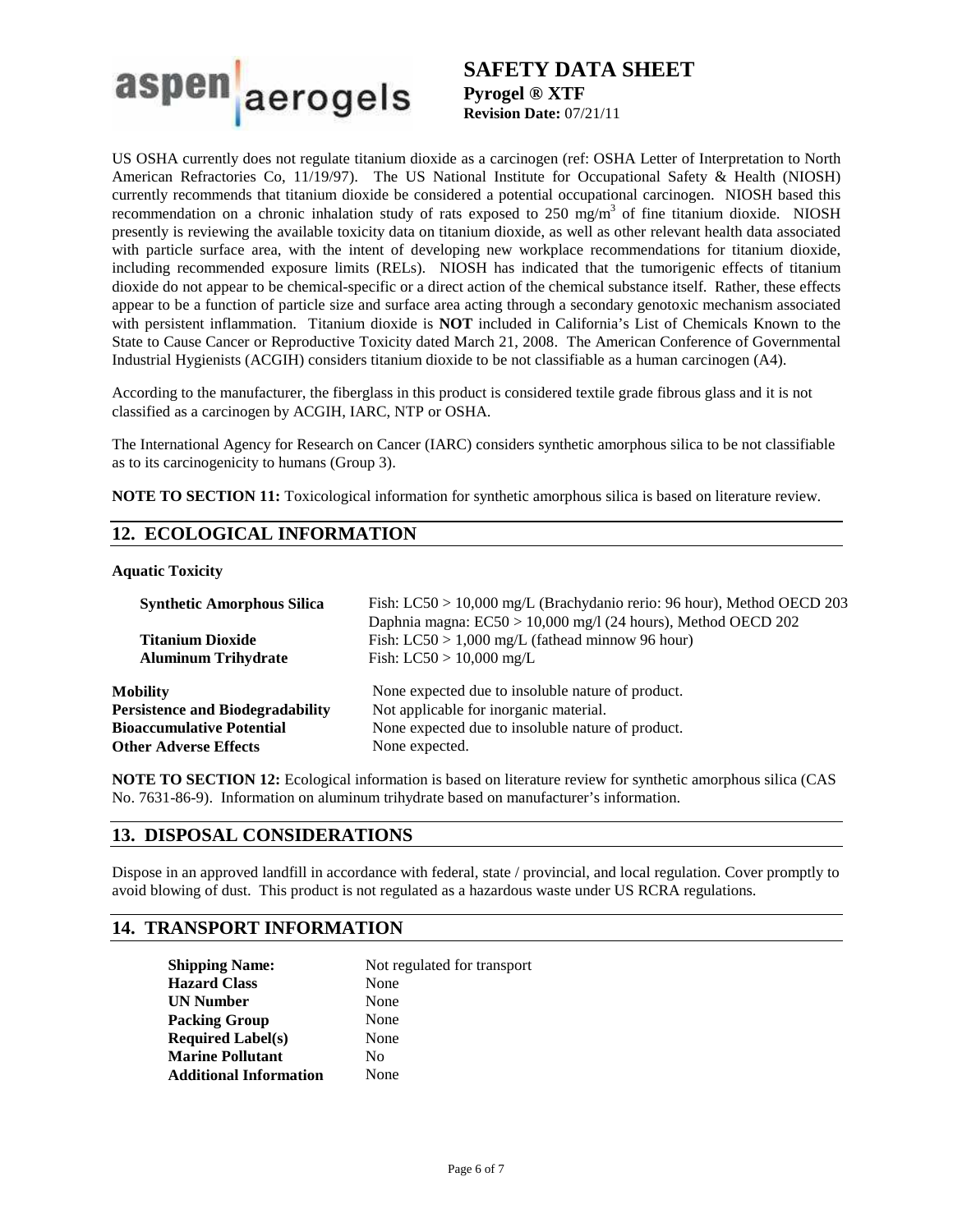

US OSHA currently does not regulate titanium dioxide as a carcinogen (ref: OSHA Letter of Interpretation to North American Refractories Co, 11/19/97). The US National Institute for Occupational Safety & Health (NIOSH) currently recommends that titanium dioxide be considered a potential occupational carcinogen. NIOSH based this recommendation on a chronic inhalation study of rats exposed to 250 mg/m<sup>3</sup> of fine titanium dioxide. NIOSH presently is reviewing the available toxicity data on titanium dioxide, as well as other relevant health data associated with particle surface area, with the intent of developing new workplace recommendations for titanium dioxide, including recommended exposure limits (RELs). NIOSH has indicated that the tumorigenic effects of titanium dioxide do not appear to be chemical-specific or a direct action of the chemical substance itself. Rather, these effects appear to be a function of particle size and surface area acting through a secondary genotoxic mechanism associated with persistent inflammation. Titanium dioxide is **NOT** included in California's List of Chemicals Known to the State to Cause Cancer or Reproductive Toxicity dated March 21, 2008. The American Conference of Governmental Industrial Hygienists (ACGIH) considers titanium dioxide to be not classifiable as a human carcinogen (A4).

According to the manufacturer, the fiberglass in this product is considered textile grade fibrous glass and it is not classified as a carcinogen by ACGIH, IARC, NTP or OSHA.

The International Agency for Research on Cancer (IARC) considers synthetic amorphous silica to be not classifiable as to its carcinogenicity to humans (Group 3).

**NOTE TO SECTION 11:** Toxicological information for synthetic amorphous silica is based on literature review.

# **12. ECOLOGICAL INFORMATION**

### **Aquatic Toxicity**

| <b>Synthetic Amorphous Silica</b>       | Fish: LC50 > 10,000 mg/L (Brachydanio rerio: 96 hour), Method OECD 203 |  |
|-----------------------------------------|------------------------------------------------------------------------|--|
|                                         | Daphnia magna: $EC50 > 10,000$ mg/l (24 hours), Method OECD 202        |  |
| <b>Titanium Dioxide</b>                 | Fish: $LC50 > 1,000$ mg/L (fathead minnow 96 hour)                     |  |
| <b>Aluminum Trihydrate</b>              | Fish: $LC50 > 10,000$ mg/L                                             |  |
| Mobility                                | None expected due to insoluble nature of product.                      |  |
| <b>Persistence and Biodegradability</b> | Not applicable for inorganic material.                                 |  |
| <b>Bioaccumulative Potential</b>        | None expected due to insoluble nature of product.                      |  |
| <b>Other Adverse Effects</b>            | None expected.                                                         |  |

**NOTE TO SECTION 12:** Ecological information is based on literature review for synthetic amorphous silica (CAS No. 7631-86-9). Information on aluminum trihydrate based on manufacturer's information.

### **13. DISPOSAL CONSIDERATIONS**

Dispose in an approved landfill in accordance with federal, state / provincial, and local regulation. Cover promptly to avoid blowing of dust. This product is not regulated as a hazardous waste under US RCRA regulations.

## **14. TRANSPORT INFORMATION**

| <b>Shipping Name:</b>         | Not regulated for transport |  |
|-------------------------------|-----------------------------|--|
| <b>Hazard Class</b>           | None                        |  |
| <b>UN Number</b>              | None                        |  |
| <b>Packing Group</b>          | None                        |  |
| <b>Required Label(s)</b>      | None                        |  |
| <b>Marine Pollutant</b>       | No                          |  |
| <b>Additional Information</b> | None                        |  |